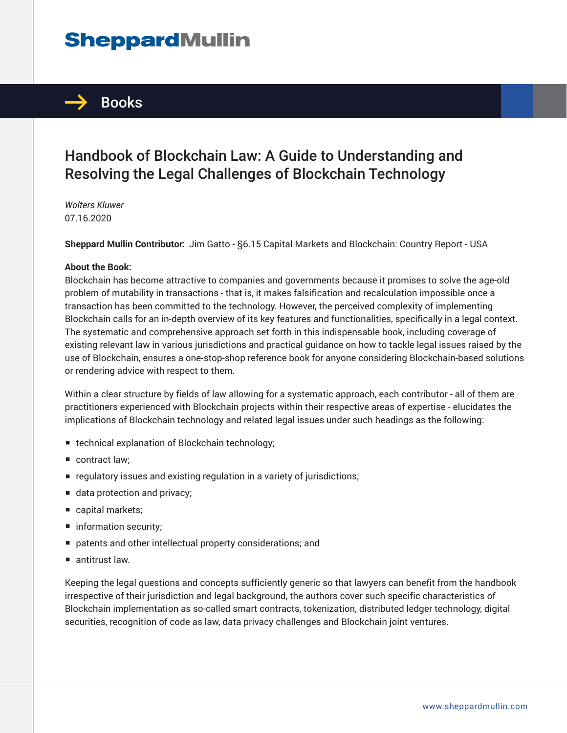# **SheppardMullin**



## Handbook of Blockchain Law: A Guide to Understanding and Resolving the Legal Challenges of Blockchain Technology

*Wolters Kluwer* 07.16.2020

**Sheppard Mullin Contributor:** Jim Gatto - §6.15 Capital Markets and Blockchain: Country Report - USA

#### **About the Book:**

Blockchain has become attractive to companies and governments because it promises to solve the age-old problem of mutability in transactions - that is, it makes falsification and recalculation impossible once a transaction has been committed to the technology. However, the perceived complexity of implementing Blockchain calls for an in-depth overview of its key features and functionalities, specifically in a legal context. The systematic and comprehensive approach set forth in this indispensable book, including coverage of existing relevant law in various jurisdictions and practical guidance on how to tackle legal issues raised by the use of Blockchain, ensures a one-stop-shop reference book for anyone considering Blockchain-based solutions or rendering advice with respect to them.

Within a clear structure by fields of law allowing for a systematic approach, each contributor - all of them are practitioners experienced with Blockchain projects within their respective areas of expertise - elucidates the implications of Blockchain technology and related legal issues under such headings as the following:

- technical explanation of Blockchain technology;
- contract law:
- requlatory issues and existing regulation in a variety of jurisdictions;
- data protection and privacy;
- capital markets;
- information security;
- patents and other intellectual property considerations; and
- antitrust law.

Keeping the legal questions and concepts sufficiently generic so that lawyers can benefit from the handbook irrespective of their jurisdiction and legal background, the authors cover such specific characteristics of Blockchain implementation as so-called smart contracts, tokenization, distributed ledger technology, digital securities, recognition of code as law, data privacy challenges and Blockchain joint ventures.